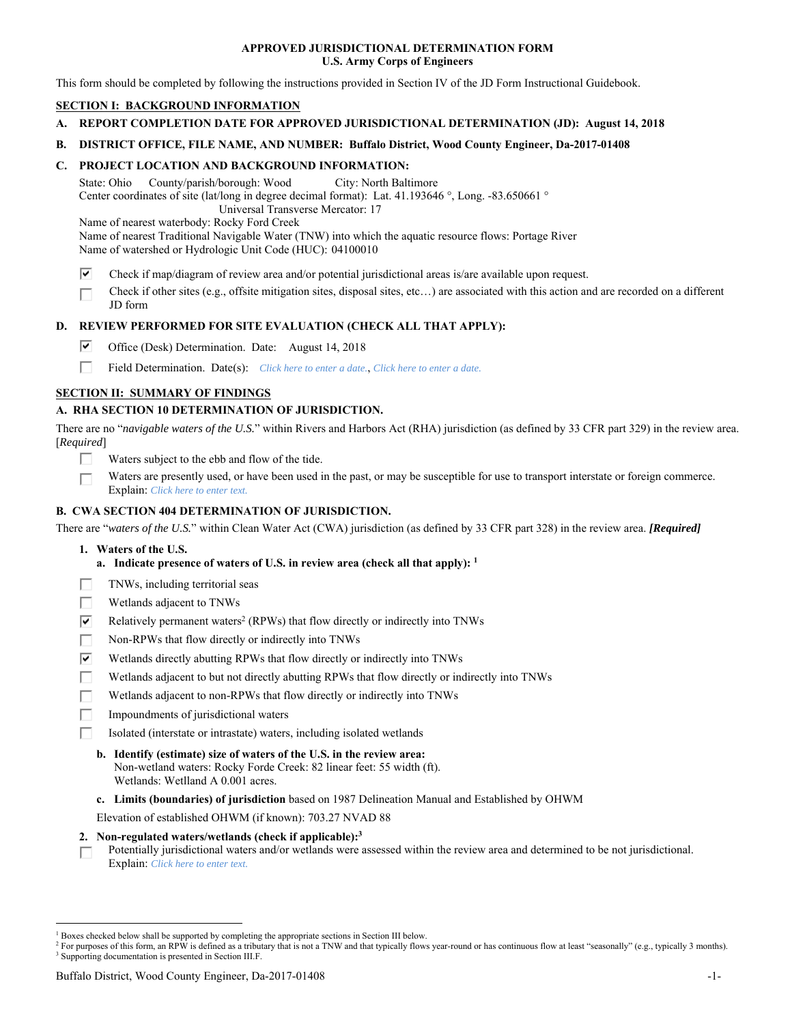### **APPROVED JURISDICTIONAL DETERMINATION FORM U.S. Army Corps of Engineers**

This form should be completed by following the instructions provided in Section IV of the JD Form Instructional Guidebook.

# **SECTION I: BACKGROUND INFORMATION**

- **A. REPORT COMPLETION DATE FOR APPROVED JURISDICTIONAL DETERMINATION (JD): August 14, 2018**
- **B. DISTRICT OFFICE, FILE NAME, AND NUMBER: Buffalo District, Wood County Engineer, Da-2017-01408**

### **C. PROJECT LOCATION AND BACKGROUND INFORMATION:**

State: Ohio County/parish/borough: Wood City: North Baltimore Center coordinates of site (lat/long in degree decimal format): Lat. 41.193646 °, Long. -83.650661 ° Universal Transverse Mercator: 17

Name of nearest waterbody: Rocky Ford Creek

Name of nearest Traditional Navigable Water (TNW) into which the aquatic resource flows: Portage River Name of watershed or Hydrologic Unit Code (HUC): 04100010

- ⊽ Check if map/diagram of review area and/or potential jurisdictional areas is/are available upon request.
- Check if other sites (e.g., offsite mitigation sites, disposal sites, etc…) are associated with this action and are recorded on a different п JD form

# **D. REVIEW PERFORMED FOR SITE EVALUATION (CHECK ALL THAT APPLY):**

- ⊡ Office (Desk) Determination. Date: August 14, 2018
- п Field Determination. Date(s): *Click here to enter a date.*, *Click here to enter a date.*

# **SECTION II: SUMMARY OF FINDINGS**

# **A. RHA SECTION 10 DETERMINATION OF JURISDICTION.**

There are no "*navigable waters of the U.S.*" within Rivers and Harbors Act (RHA) jurisdiction (as defined by 33 CFR part 329) in the review area. [*Required*]

- Waters subject to the ebb and flow of the tide.
- Waters are presently used, or have been used in the past, or may be susceptible for use to transport interstate or foreign commerce. г Explain: *Click here to enter text.*

## **B. CWA SECTION 404 DETERMINATION OF JURISDICTION.**

There are "*waters of the U.S.*" within Clean Water Act (CWA) jurisdiction (as defined by 33 CFR part 328) in the review area. *[Required]*

- **1. Waters of the U.S.** 
	- **a. Indicate presence of waters of U.S. in review area (check all that apply): 1**
- TNWs, including territorial seas П
- П Wetlands adjacent to TNWs
- ⊽ Relatively permanent waters<sup>2</sup> (RPWs) that flow directly or indirectly into TNWs
- П Non-RPWs that flow directly or indirectly into TNWs
- ☑ Wetlands directly abutting RPWs that flow directly or indirectly into TNWs
- П Wetlands adjacent to but not directly abutting RPWs that flow directly or indirectly into TNWs
- П Wetlands adjacent to non-RPWs that flow directly or indirectly into TNWs
- П Impoundments of jurisdictional waters
- П. Isolated (interstate or intrastate) waters, including isolated wetlands
	- **b. Identify (estimate) size of waters of the U.S. in the review area:** 
		- Non-wetland waters: Rocky Forde Creek: 82 linear feet: 55 width (ft). Wetlands: Wetlland A 0.001 acres.
	- **c. Limits (boundaries) of jurisdiction** based on 1987 Delineation Manual and Established by OHWM

Elevation of established OHWM (if known): 703.27 NVAD 88

- **2. Non-regulated waters/wetlands (check if applicable):3**
- Potentially jurisdictional waters and/or wetlands were assessed within the review area and determined to be not jurisdictional. п Explain: *Click here to enter text.*

 $\overline{a}$ 

<sup>&</sup>lt;sup>1</sup> Boxes checked below shall be supported by completing the appropriate sections in Section III below.  $^{\text{1}}$  Boxes checked below shall be supported by completing the appropriate sections in Section III below.<br><sup>2</sup> For purposes of this form an RRW is defined as a tributery that is not a TNW and that typically flows

<sup>&</sup>lt;sup>2</sup> For purposes of this form, an RPW is defined as a tributary that is not a TNW and that typically flows year-round or has continuous flow at least "seasonally" (e.g., typically 3 months). <sup>3</sup> Supporting documentation is presented in Section III.F.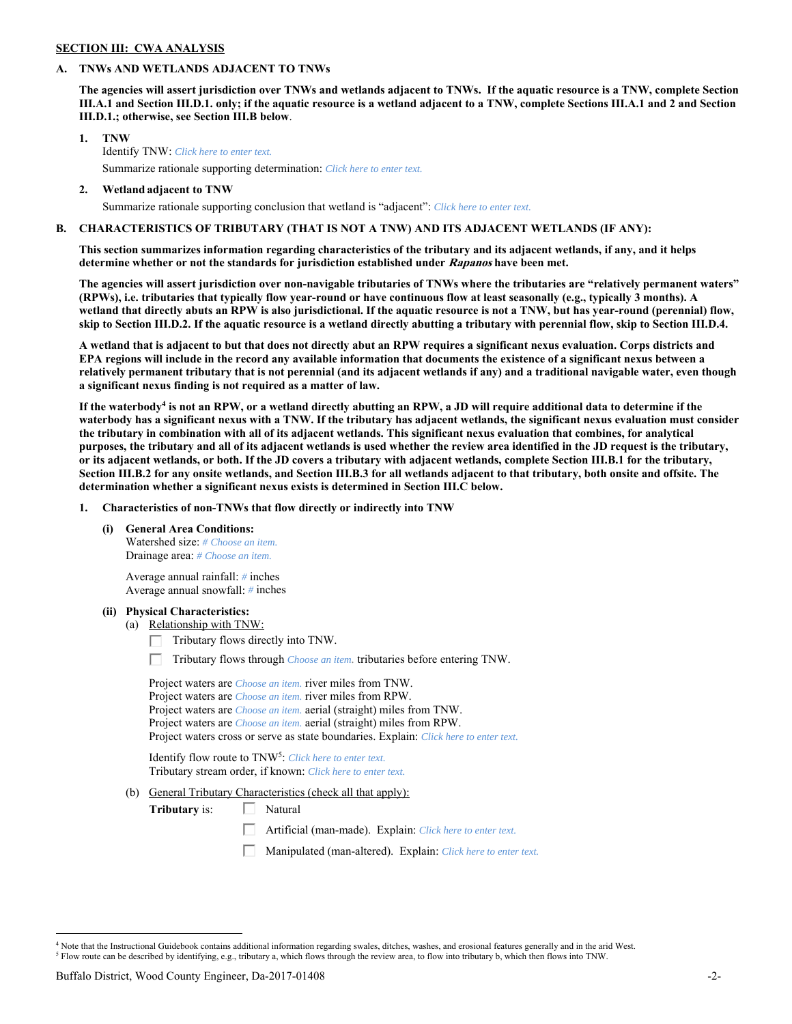# **SECTION III: CWA ANALYSIS**

#### **A. TNWs AND WETLANDS ADJACENT TO TNWs**

**The agencies will assert jurisdiction over TNWs and wetlands adjacent to TNWs. If the aquatic resource is a TNW, complete Section III.A.1 and Section III.D.1. only; if the aquatic resource is a wetland adjacent to a TNW, complete Sections III.A.1 and 2 and Section III.D.1.; otherwise, see Section III.B below**.

- **1. TNW**  Identify TNW: *Click here to enter text.* Summarize rationale supporting determination: *Click here to enter text.*
- **2. Wetland adjacent to TNW**  Summarize rationale supporting conclusion that wetland is "adjacent": *Click here to enter text.*

## **B. CHARACTERISTICS OF TRIBUTARY (THAT IS NOT A TNW) AND ITS ADJACENT WETLANDS (IF ANY):**

**This section summarizes information regarding characteristics of the tributary and its adjacent wetlands, if any, and it helps determine whether or not the standards for jurisdiction established under Rapanos have been met.** 

**The agencies will assert jurisdiction over non-navigable tributaries of TNWs where the tributaries are "relatively permanent waters" (RPWs), i.e. tributaries that typically flow year-round or have continuous flow at least seasonally (e.g., typically 3 months). A wetland that directly abuts an RPW is also jurisdictional. If the aquatic resource is not a TNW, but has year-round (perennial) flow, skip to Section III.D.2. If the aquatic resource is a wetland directly abutting a tributary with perennial flow, skip to Section III.D.4.** 

**A wetland that is adjacent to but that does not directly abut an RPW requires a significant nexus evaluation. Corps districts and EPA regions will include in the record any available information that documents the existence of a significant nexus between a relatively permanent tributary that is not perennial (and its adjacent wetlands if any) and a traditional navigable water, even though a significant nexus finding is not required as a matter of law.**

If the waterbody<sup>4</sup> is not an RPW, or a wetland directly abutting an RPW, a JD will require additional data to determine if the **waterbody has a significant nexus with a TNW. If the tributary has adjacent wetlands, the significant nexus evaluation must consider the tributary in combination with all of its adjacent wetlands. This significant nexus evaluation that combines, for analytical purposes, the tributary and all of its adjacent wetlands is used whether the review area identified in the JD request is the tributary, or its adjacent wetlands, or both. If the JD covers a tributary with adjacent wetlands, complete Section III.B.1 for the tributary, Section III.B.2 for any onsite wetlands, and Section III.B.3 for all wetlands adjacent to that tributary, both onsite and offsite. The determination whether a significant nexus exists is determined in Section III.C below.** 

 **1. Characteristics of non-TNWs that flow directly or indirectly into TNW** 

 **(i) General Area Conditions:** 

 Watershed size: *# Choose an item.* Drainage area: *# Choose an item.*

 Average annual rainfall: *#* inches Average annual snowfall: *#* inches

#### **(ii) Physical Characteristics:**

- (a) Relationship with TNW:
	- Tributary flows directly into TNW. Г.
	- Tributary flows through *Choose an item.* tributaries before entering TNW.

 Project waters are *Choose an item.* river miles from TNW. Project waters are *Choose an item.* river miles from RPW. Project waters are *Choose an item.* aerial (straight) miles from TNW. Project waters are *Choose an item.* aerial (straight) miles from RPW. Project waters cross or serve as state boundaries. Explain: *Click here to enter text.*

Identify flow route to TNW5: *Click here to enter text.* Tributary stream order, if known: *Click here to enter text.*

(b) General Tributary Characteristics (check all that apply):

**Tributary** is:  $\Box$  Natural

- Artificial (man-made). Explain: *Click here to enter text.*
- Manipulated (man-altered). Explain: *Click here to enter text.*

 $\overline{a}$ 

<sup>4</sup> Note that the Instructional Guidebook contains additional information regarding swales, ditches, washes, and erosional features generally and in the arid West.  $^5$  Flow route can be described by identifying, e.g., tributary a, which flows through the review area, to flow into tributary b, which then flows into TNW.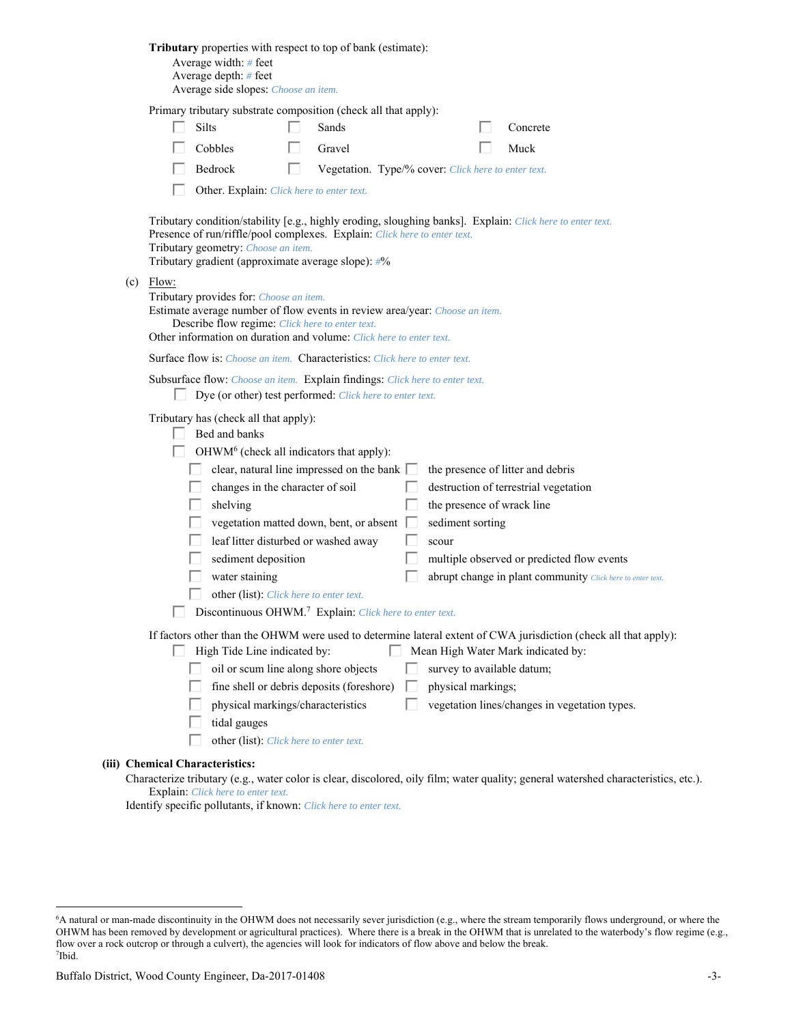| Tributary properties with respect to top of bank (estimate):<br>Average width: # feet<br>Average depth: # feet<br>Average side slopes: Choose an item.                                                                                                                                                                                                                                                                                                                                                                                                                                                                                                                                                                |
|-----------------------------------------------------------------------------------------------------------------------------------------------------------------------------------------------------------------------------------------------------------------------------------------------------------------------------------------------------------------------------------------------------------------------------------------------------------------------------------------------------------------------------------------------------------------------------------------------------------------------------------------------------------------------------------------------------------------------|
| Primary tributary substrate composition (check all that apply):<br>Silts<br>Sands<br>Concrete<br>Cobbles<br>Gravel<br>Muck<br>Bedrock<br>Vegetation. Type/% cover: Click here to enter text.<br>H<br>Other. Explain: Click here to enter text.                                                                                                                                                                                                                                                                                                                                                                                                                                                                        |
| Tributary condition/stability [e.g., highly eroding, sloughing banks]. Explain: Click here to enter text.<br>Presence of run/riffle/pool complexes. Explain: Click here to enter text.<br>Tributary geometry: Choose an item.<br>Tributary gradient (approximate average slope): #%                                                                                                                                                                                                                                                                                                                                                                                                                                   |
| $(c)$ Flow:<br>Tributary provides for: Choose an item.<br>Estimate average number of flow events in review area/year: Choose an item.<br>Describe flow regime: Click here to enter text.<br>Other information on duration and volume: Click here to enter text.                                                                                                                                                                                                                                                                                                                                                                                                                                                       |
| <b>Surface flow is:</b> <i>Choose an item.</i> <b>Characteristics:</b> <i>Click here to enter text.</i>                                                                                                                                                                                                                                                                                                                                                                                                                                                                                                                                                                                                               |
| Subsurface flow: Choose an item. Explain findings: Click here to enter text.<br>Dye (or other) test performed: Click here to enter text.                                                                                                                                                                                                                                                                                                                                                                                                                                                                                                                                                                              |
| Tributary has (check all that apply):<br>Bed and banks<br>OHWM <sup>6</sup> (check all indicators that apply):<br>clear, natural line impressed on the bank $\Box$<br>the presence of litter and debris<br>changes in the character of soil<br>destruction of terrestrial vegetation<br>the presence of wrack line<br>shelving<br>vegetation matted down, bent, or absent<br>sediment sorting<br>leaf litter disturbed or washed away<br>scour<br>sediment deposition<br>multiple observed or predicted flow events<br>water staining<br>abrupt change in plant community Click here to enter text.<br>other (list): Click here to enter text.<br>Discontinuous OHWM. <sup>7</sup> Explain: Click here to enter text. |
| If factors other than the OHWM were used to determine lateral extent of CWA jurisdiction (check all that apply):<br>High Tide Line indicated by:<br>Mean High Water Mark indicated by:<br>oil or scum line along shore objects<br>survey to available datum;<br>fine shell or debris deposits (foreshore)<br>physical markings;<br>L<br>physical markings/characteristics<br>vegetation lines/changes in vegetation types.<br>tidal gauges<br>other (list): Click here to enter text.                                                                                                                                                                                                                                 |
| (iii) Chemical Characteristics:<br>Characterize tributary (e.g., water color is clear, discolored, oily film; water quality; general watershed characteristics, etc.).                                                                                                                                                                                                                                                                                                                                                                                                                                                                                                                                                |
| Explain: Click here to enter text.                                                                                                                                                                                                                                                                                                                                                                                                                                                                                                                                                                                                                                                                                    |

Identify specific pollutants, if known: *Click here to enter text.*

<sup>&</sup>lt;sup>6</sup>A natural or man-made discontinuity in the OHWM does not necessarily sever jurisdiction (e.g., where the stream temporarily flows underground, or where the OHWM has been removed by development or agricultural practices). Where there is a break in the OHWM that is unrelated to the waterbody's flow regime (e.g., flow over a rock outcrop or through a culvert), the agencies will look for indicators of flow above and below the break. 7 Ibid.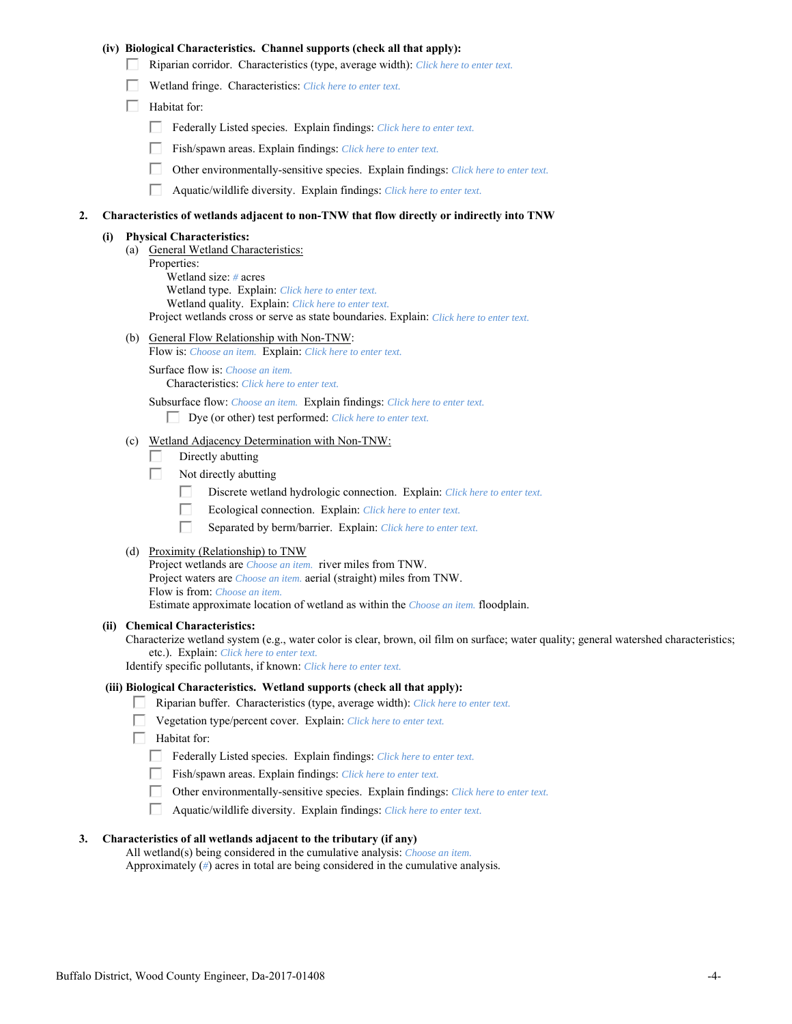## **(iv) Biological Characteristics. Channel supports (check all that apply):**

- Riparian corridor. Characteristics (type, average width): *Click here to enter text.*
- Wetland fringe. Characteristics: *Click here to enter text.*
- $\Box$  Habitat for:
	- Federally Listed species. Explain findings: *Click here to enter text.*
	- Fish/spawn areas. Explain findings: *Click here to enter text.*
	- П. Other environmentally-sensitive species. Explain findings: *Click here to enter text.*
	- $\Box$ Aquatic/wildlife diversity. Explain findings: *Click here to enter text.*

### **2. Characteristics of wetlands adjacent to non-TNW that flow directly or indirectly into TNW**

#### **(i) Physical Characteristics:**

- (a) General Wetland Characteristics: Properties: Wetland size: *#* acres Wetland type. Explain: *Click here to enter text.* Wetland quality. Explain: *Click here to enter text.* Project wetlands cross or serve as state boundaries. Explain: *Click here to enter text.*
- (b) General Flow Relationship with Non-TNW:
	- Flow is: *Choose an item.* Explain: *Click here to enter text.*

 Surface flow is: *Choose an item.* Characteristics: *Click here to enter text.*

Subsurface flow: *Choose an item.* Explain findings: *Click here to enter text.*

- Dye (or other) test performed: *Click here to enter text.*
- (c) Wetland Adjacency Determination with Non-TNW:
	- П. Directly abutting
	- П. Not directly abutting
		- П. Discrete wetland hydrologic connection. Explain: *Click here to enter text.*
		- П. Ecological connection. Explain: *Click here to enter text.*
		- П. Separated by berm/barrier. Explain: *Click here to enter text.*
- (d) Proximity (Relationship) to TNW

Project wetlands are *Choose an item.* river miles from TNW. Project waters are *Choose an item.* aerial (straight) miles from TNW. Flow is from: *Choose an item.* Estimate approximate location of wetland as within the *Choose an item.* floodplain.

#### **(ii) Chemical Characteristics:**

Characterize wetland system (e.g., water color is clear, brown, oil film on surface; water quality; general watershed characteristics; etc.). Explain: *Click here to enter text.*

Identify specific pollutants, if known: *Click here to enter text.*

### **(iii) Biological Characteristics. Wetland supports (check all that apply):**

- Riparian buffer. Characteristics (type, average width): *Click here to enter text.*
- Vegetation type/percent cover. Explain: *Click here to enter text.*
- $\Box$  Habitat for:
	- Federally Listed species. Explain findings: *Click here to enter text*.
	- Fish/spawn areas. Explain findings: *Click here to enter text*.
	- $\Box$ Other environmentally-sensitive species. Explain findings: *Click here to enter text.*
	- Aquatic/wildlife diversity. Explain findings: *Click here to enter text.*

#### **3. Characteristics of all wetlands adjacent to the tributary (if any)**

 All wetland(s) being considered in the cumulative analysis: *Choose an item.* Approximately (*#*) acres in total are being considered in the cumulative analysis.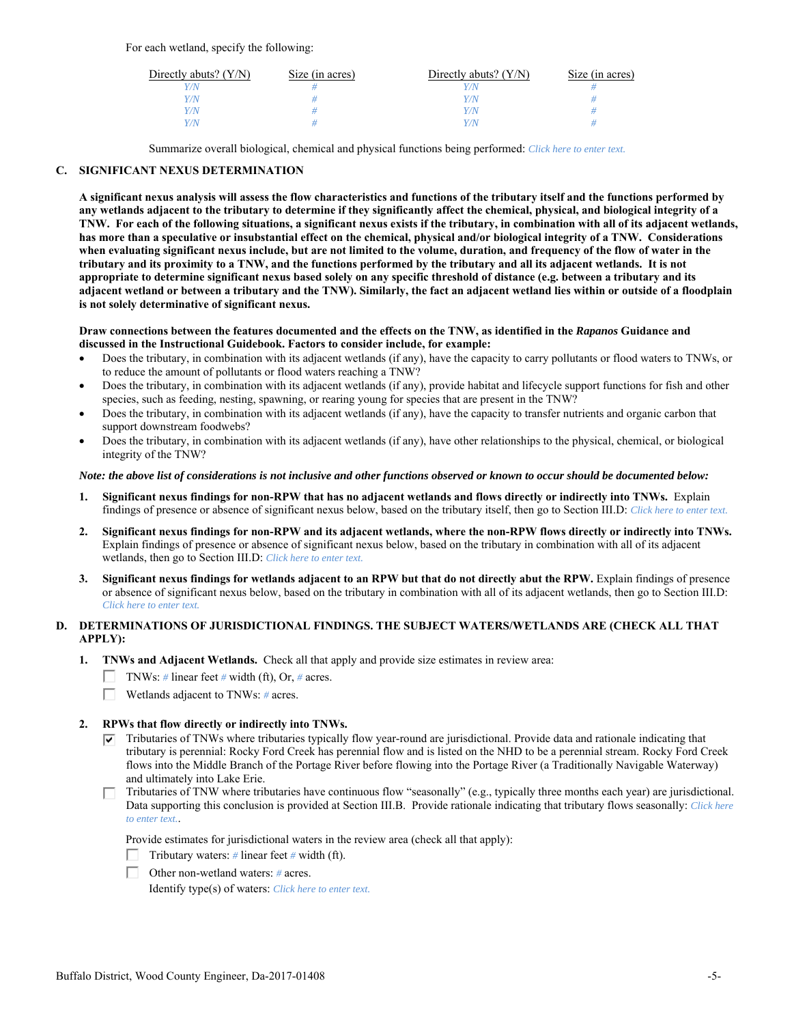For each wetland, specify the following:

| Directly abuts? $(Y/N)$ | Size (in acres) | Directly abuts? $(Y/N)$ | Size (in acres) |
|-------------------------|-----------------|-------------------------|-----------------|
|                         |                 |                         |                 |
| $\sqrt{N}$              |                 | 77 N                    |                 |
| $\sqrt{2}$              |                 | 77 N                    |                 |
| $\sqrt{N}$              |                 | 77 N                    |                 |

Summarize overall biological, chemical and physical functions being performed: *Click here to enter text.*

# **C. SIGNIFICANT NEXUS DETERMINATION**

**A significant nexus analysis will assess the flow characteristics and functions of the tributary itself and the functions performed by any wetlands adjacent to the tributary to determine if they significantly affect the chemical, physical, and biological integrity of a TNW. For each of the following situations, a significant nexus exists if the tributary, in combination with all of its adjacent wetlands, has more than a speculative or insubstantial effect on the chemical, physical and/or biological integrity of a TNW. Considerations when evaluating significant nexus include, but are not limited to the volume, duration, and frequency of the flow of water in the tributary and its proximity to a TNW, and the functions performed by the tributary and all its adjacent wetlands. It is not appropriate to determine significant nexus based solely on any specific threshold of distance (e.g. between a tributary and its adjacent wetland or between a tributary and the TNW). Similarly, the fact an adjacent wetland lies within or outside of a floodplain is not solely determinative of significant nexus.** 

#### **Draw connections between the features documented and the effects on the TNW, as identified in the** *Rapanos* **Guidance and discussed in the Instructional Guidebook. Factors to consider include, for example:**

- Does the tributary, in combination with its adjacent wetlands (if any), have the capacity to carry pollutants or flood waters to TNWs, or to reduce the amount of pollutants or flood waters reaching a TNW?
- Does the tributary, in combination with its adjacent wetlands (if any), provide habitat and lifecycle support functions for fish and other species, such as feeding, nesting, spawning, or rearing young for species that are present in the TNW?
- Does the tributary, in combination with its adjacent wetlands (if any), have the capacity to transfer nutrients and organic carbon that support downstream foodwebs?
- Does the tributary, in combination with its adjacent wetlands (if any), have other relationships to the physical, chemical, or biological integrity of the TNW?

### *Note: the above list of considerations is not inclusive and other functions observed or known to occur should be documented below:*

- **1. Significant nexus findings for non-RPW that has no adjacent wetlands and flows directly or indirectly into TNWs.** Explain findings of presence or absence of significant nexus below, based on the tributary itself, then go to Section III.D: *Click here to enter text.*
- **2. Significant nexus findings for non-RPW and its adjacent wetlands, where the non-RPW flows directly or indirectly into TNWs.**  Explain findings of presence or absence of significant nexus below, based on the tributary in combination with all of its adjacent wetlands, then go to Section III.D: *Click here to enter text.*
- **3. Significant nexus findings for wetlands adjacent to an RPW but that do not directly abut the RPW.** Explain findings of presence or absence of significant nexus below, based on the tributary in combination with all of its adjacent wetlands, then go to Section III.D: *Click here to enter text.*

# **D. DETERMINATIONS OF JURISDICTIONAL FINDINGS. THE SUBJECT WATERS/WETLANDS ARE (CHECK ALL THAT APPLY):**

- **1. TNWs and Adjacent Wetlands.** Check all that apply and provide size estimates in review area:
	- TNWs: *#* linear feet *#* width (ft), Or, *#* acres.
	- П. Wetlands adjacent to TNWs: *#* acres.

# **2. RPWs that flow directly or indirectly into TNWs.**

- $\nabla$  Tributaries of TNWs where tributaries typically flow year-round are jurisdictional. Provide data and rationale indicating that tributary is perennial: Rocky Ford Creek has perennial flow and is listed on the NHD to be a perennial stream. Rocky Ford Creek flows into the Middle Branch of the Portage River before flowing into the Portage River (a Traditionally Navigable Waterway) and ultimately into Lake Erie.
- Tributaries of TNW where tributaries have continuous flow "seasonally" (e.g., typically three months each year) are jurisdictional.  $\Box$ Data supporting this conclusion is provided at Section III.B. Provide rationale indicating that tributary flows seasonally: *Click here to enter text.*.

Provide estimates for jurisdictional waters in the review area (check all that apply):



Other non-wetland waters: *#* acres.

Identify type(s) of waters: *Click here to enter text.*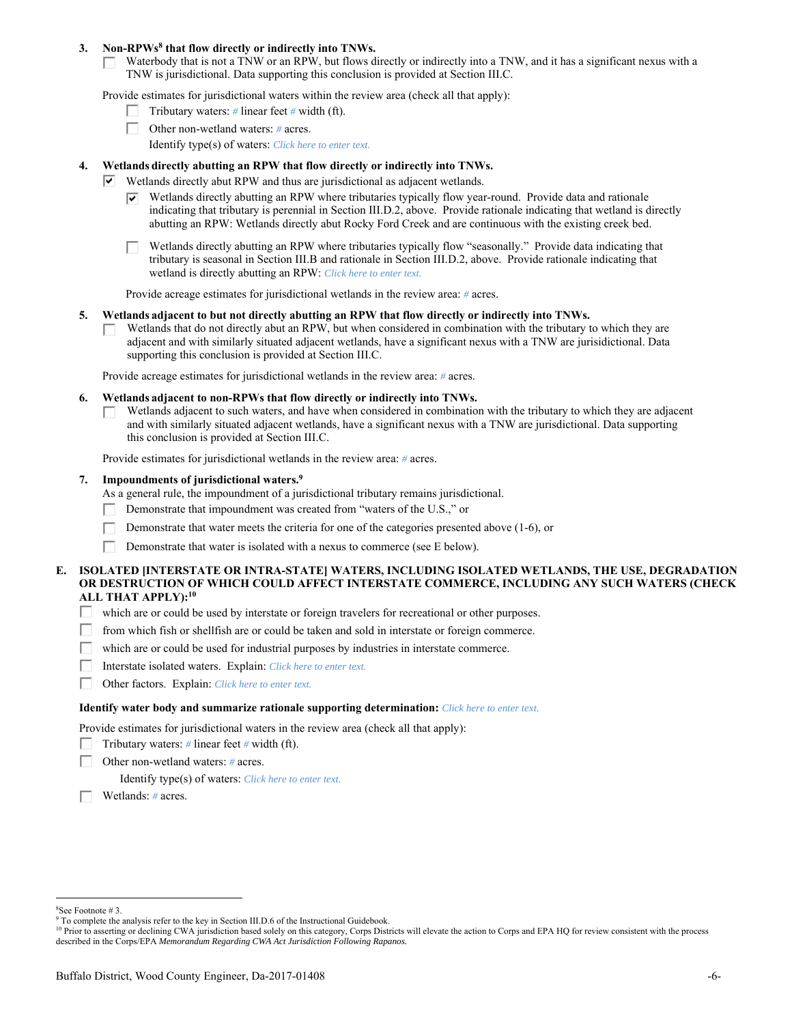### 3. Non-RPWs<sup>8</sup> that flow directly or indirectly into TNWs.

Waterbody that is not a TNW or an RPW, but flows directly or indirectly into a TNW, and it has a significant nexus with a **ITT** TNW is jurisdictional. Data supporting this conclusion is provided at Section III.C.

Provide estimates for jurisdictional waters within the review area (check all that apply):

- Tributary waters: *#* linear feet *#* width (ft).
- Other non-wetland waters: *#* acres.
	- Identify type(s) of waters: *Click here to enter text.*

### **4. Wetlands directly abutting an RPW that flow directly or indirectly into TNWs.**

- $\triangledown$  Wetlands directly abut RPW and thus are jurisdictional as adjacent wetlands.
	- Wetlands directly abutting an RPW where tributaries typically flow year-round. Provide data and rationale indicating that tributary is perennial in Section III.D.2, above. Provide rationale indicating that wetland is directly abutting an RPW: Wetlands directly abut Rocky Ford Creek and are continuous with the existing creek bed.
	- Wetlands directly abutting an RPW where tributaries typically flow "seasonally." Provide data indicating that tributary is seasonal in Section III.B and rationale in Section III.D.2, above. Provide rationale indicating that wetland is directly abutting an RPW: *Click here to enter text.*

Provide acreage estimates for jurisdictional wetlands in the review area: *#* acres.

#### **5. Wetlands adjacent to but not directly abutting an RPW that flow directly or indirectly into TNWs.**

Wetlands that do not directly abut an RPW, but when considered in combination with the tributary to which they are П. adjacent and with similarly situated adjacent wetlands, have a significant nexus with a TNW are jurisidictional. Data supporting this conclusion is provided at Section III.C.

Provide acreage estimates for jurisdictional wetlands in the review area: *#* acres.

- **6. Wetlands adjacent to non-RPWs that flow directly or indirectly into TNWs.** 
	- Wetlands adjacent to such waters, and have when considered in combination with the tributary to which they are adjacent □ and with similarly situated adjacent wetlands, have a significant nexus with a TNW are jurisdictional. Data supporting this conclusion is provided at Section III.C.

Provide estimates for jurisdictional wetlands in the review area: *#* acres.

#### **7. Impoundments of jurisdictional waters.9**

As a general rule, the impoundment of a jurisdictional tributary remains jurisdictional.

- Demonstrate that impoundment was created from "waters of the U.S.," or
- Demonstrate that water meets the criteria for one of the categories presented above (1-6), or
- Г Demonstrate that water is isolated with a nexus to commerce (see E below).

## **E. ISOLATED [INTERSTATE OR INTRA-STATE] WATERS, INCLUDING ISOLATED WETLANDS, THE USE, DEGRADATION OR DESTRUCTION OF WHICH COULD AFFECT INTERSTATE COMMERCE, INCLUDING ANY SUCH WATERS (CHECK ALL THAT APPLY):10**

- П. which are or could be used by interstate or foreign travelers for recreational or other purposes.
- from which fish or shellfish are or could be taken and sold in interstate or foreign commerce. П.
- П. which are or could be used for industrial purposes by industries in interstate commerce.
- П. Interstate isolated waters.Explain: *Click here to enter text.*
- п Other factors.Explain: *Click here to enter text.*

#### **Identify water body and summarize rationale supporting determination:** *Click here to enter text.*

Provide estimates for jurisdictional waters in the review area (check all that apply):

- Tributary waters:  $\#$  linear feet  $\#$  width (ft).
- Г Other non-wetland waters: *#* acres.

Identify type(s) of waters: *Click here to enter text.*

Wetlands: *#* acres.

 $\overline{a}$ 

<sup>8</sup> See Footnote # 3.

<sup>&</sup>lt;sup>9</sup> To complete the analysis refer to the key in Section III.D.6 of the Instructional Guidebook.

<sup>&</sup>lt;sup>10</sup> Prior to asserting or declining CWA jurisdiction based solely on this category, Corps Districts will elevate the action to Corps and EPA HQ for review consistent with the process described in the Corps/EPA *Memorandum Regarding CWA Act Jurisdiction Following Rapanos.*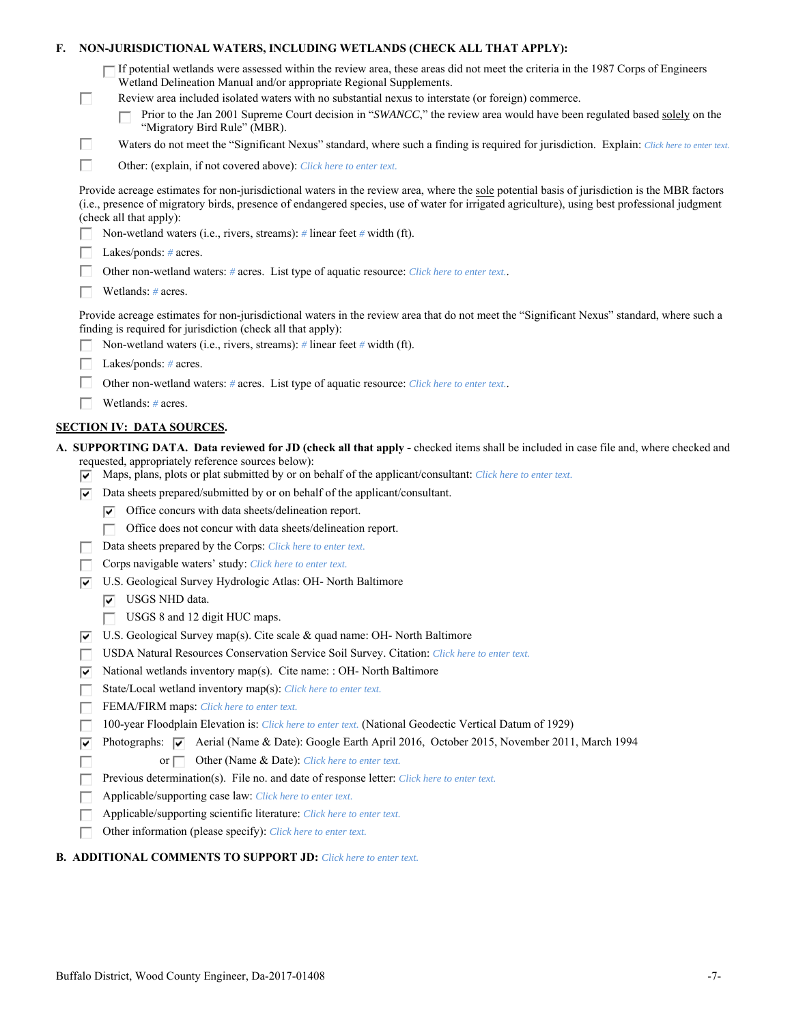| F. |    | NON-JURISDICTIONAL WATERS, INCLUDING WETLANDS (CHECK ALL THAT APPLY):                                                                                                                                                                                                                                                     |
|----|----|---------------------------------------------------------------------------------------------------------------------------------------------------------------------------------------------------------------------------------------------------------------------------------------------------------------------------|
|    | □  | If potential wetlands were assessed within the review area, these areas did not meet the criteria in the 1987 Corps of Engineers<br>Wetland Delineation Manual and/or appropriate Regional Supplements.<br>Review area included isolated waters with no substantial nexus to interstate (or foreign) commerce.            |
|    |    | Prior to the Jan 2001 Supreme Court decision in "SWANCC," the review area would have been regulated based solely on the<br>"Migratory Bird Rule" (MBR).                                                                                                                                                                   |
|    | □  | Waters do not meet the "Significant Nexus" standard, where such a finding is required for jurisdiction. Explain: Click here to enter text.                                                                                                                                                                                |
|    | П  | Other: (explain, if not covered above): Click here to enter text.                                                                                                                                                                                                                                                         |
|    |    | Provide acreage estimates for non-jurisdictional waters in the review area, where the sole potential basis of jurisdiction is the MBR factors<br>(i.e., presence of migratory birds, presence of endangered species, use of water for irrigated agriculture), using best professional judgment<br>(check all that apply): |
|    |    | Non-wetland waters (i.e., rivers, streams): $\#$ linear feet $\#$ width (ft).                                                                                                                                                                                                                                             |
|    |    | Lakes/ponds: # acres.                                                                                                                                                                                                                                                                                                     |
|    |    | Other non-wetland waters: # acres. List type of aquatic resource: Click here to enter text                                                                                                                                                                                                                                |
|    |    | Wetlands: # acres.                                                                                                                                                                                                                                                                                                        |
|    |    | Provide acreage estimates for non-jurisdictional waters in the review area that do not meet the "Significant Nexus" standard, where such a<br>finding is required for jurisdiction (check all that apply):                                                                                                                |
|    |    | Non-wetland waters (i.e., rivers, streams): $\#$ linear feet $\#$ width (ft).                                                                                                                                                                                                                                             |
|    |    | Lakes/ponds: # acres.                                                                                                                                                                                                                                                                                                     |
|    |    | Other non-wetland waters: # acres. List type of aquatic resource: Click here to enter text                                                                                                                                                                                                                                |
|    |    | Wetlands: # acres.                                                                                                                                                                                                                                                                                                        |
|    |    | <b>SECTION IV: DATA SOURCES.</b>                                                                                                                                                                                                                                                                                          |
|    |    | A. SUPPORTING DATA. Data reviewed for JD (check all that apply - checked items shall be included in case file and, where checked and                                                                                                                                                                                      |
|    | ☞  | requested, appropriately reference sources below):<br>Maps, plans, plots or plat submitted by or on behalf of the applicant/consultant: Click here to enter text.                                                                                                                                                         |
|    | ⊽  | Data sheets prepared/submitted by or on behalf of the applicant/consultant.                                                                                                                                                                                                                                               |
|    |    | Office concurs with data sheets/delineation report.<br>☞                                                                                                                                                                                                                                                                  |
|    |    | Office does not concur with data sheets/delineation report.                                                                                                                                                                                                                                                               |
|    |    | Data sheets prepared by the Corps: Click here to enter text.                                                                                                                                                                                                                                                              |
|    |    | Corps navigable waters' study: Click here to enter text.                                                                                                                                                                                                                                                                  |
|    | ⊵  | U.S. Geological Survey Hydrologic Atlas: OH- North Baltimore                                                                                                                                                                                                                                                              |
|    |    | USGS NHD data.<br>⊽                                                                                                                                                                                                                                                                                                       |
|    |    | USGS 8 and 12 digit HUC maps.                                                                                                                                                                                                                                                                                             |
|    | ⊽  | U.S. Geological Survey map(s). Cite scale $\&$ quad name: OH- North Baltimore                                                                                                                                                                                                                                             |
|    |    | USDA Natural Resources Conservation Service Soil Survey. Citation: Click here to enter text.                                                                                                                                                                                                                              |
|    | ∣V | National wetlands inventory map(s). Cite name: : OH- North Baltimore                                                                                                                                                                                                                                                      |
|    | г  | State/Local wetland inventory map(s): Click here to enter text.                                                                                                                                                                                                                                                           |
|    |    | FEMA/FIRM maps: Click here to enter text.                                                                                                                                                                                                                                                                                 |
|    |    | 100-year Floodplain Elevation is: Click here to enter text. (National Geodectic Vertical Datum of 1929)                                                                                                                                                                                                                   |
|    | ⊽  | Photographs: $\overline{\blacktriangledown}$ Aerial (Name & Date): Google Earth April 2016, October 2015, November 2011, March 1994                                                                                                                                                                                       |
|    |    | Other (Name & Date): Click here to enter text.<br>or $\Box$                                                                                                                                                                                                                                                               |
|    |    | Previous determination(s). File no. and date of response letter: Click here to enter text.                                                                                                                                                                                                                                |
|    |    | Applicable/supporting case law: Click here to enter text.                                                                                                                                                                                                                                                                 |
|    | п  | Applicable/supporting scientific literature: Click here to enter text.                                                                                                                                                                                                                                                    |
|    |    | Other information (please specify): Click here to enter text.                                                                                                                                                                                                                                                             |
|    |    | <b>B. ADDITIONAL COMMENTS TO SUPPORT JD:</b> Click here to enter text.                                                                                                                                                                                                                                                    |
|    |    |                                                                                                                                                                                                                                                                                                                           |